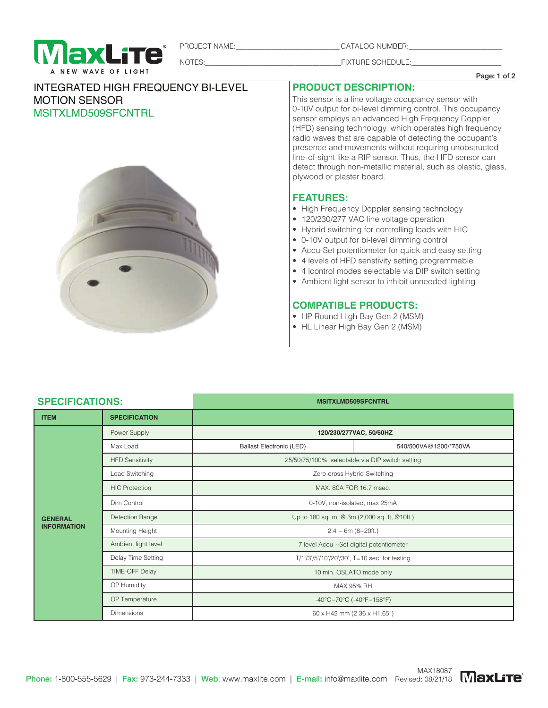

PROJECT NAME:\_\_\_\_\_\_\_\_\_\_\_\_\_\_\_\_\_\_\_\_\_\_\_\_\_\_\_\_\_ CATALOG NUMBER:\_\_\_\_\_\_\_\_\_\_\_\_\_\_\_\_\_\_\_\_\_\_\_\_\_\_

NOTES: WE SCHEDULE:

Page: 1 of 2

## INTEGRATED HIGH FREQUENCY BI-LEVEL MOTION SENSOR MSITXLMD509SFCNTRL



**PRODUCT DESCRIPTION:**

This sensor is a line voltage occupancy sensor with 0-10V output for bi-level dimming control. This occupancy sensor employs an advanced High Frequency Doppler (HFD) sensing technology, which operates high frequency radio waves that are capable of detecting the occupant's presence and movements without requiring unobstructed line-of-sight like a RIP sensor. Thus, the HFD sensor can detect through non-metallic material, such as plastic, glass, plywood or plaster board.

## **FEATURES:**

- High Frequency Doppler sensing technology
- 120/230/277 VAC line voltage operation
- Hybrid switching for controlling loads with HIC
- 0-10V output for bi-level dimming control
- Accu-Set potentiometer for quick and easy setting
- 4 levels of HFD senstivity setting programmable
- 4 lcontrol modes selectable via DIP switch setting
- Ambient light sensor to inhibit unneeded lighting

## **COMPATIBLE PRODUCTS:**

- HP Round High Bay Gen 2 (MSM)
- HL Linear High Bay Gen 2 (MSM)

# **SPECIFICATIONS: MSITXLMD509SFCNTRL**

| OF LUIFIUATIUNO.                     |                        | שווושט וככסכסוויום או וכוויו                     |                       |
|--------------------------------------|------------------------|--------------------------------------------------|-----------------------|
| <b>ITEM</b>                          | <b>SPECIFICATION</b>   |                                                  |                       |
| <b>GENERAL</b><br><b>INFORMATION</b> | Power Supply           | 120/230/277VAC, 50/60HZ                          |                       |
|                                      | Max Load               | <b>Ballast Electronic (LED)</b>                  | 540/500VA@1200/*750VA |
|                                      | <b>HFD Sensitivity</b> | 25/50/75/100%, selectable via DIP switch setting |                       |
|                                      | Load Switching         | Zero-cross Hybrid-Switching                      |                       |
|                                      | <b>HIC Protection</b>  | MAX, 80A FOR 16.7 msec.                          |                       |
|                                      | Dim Control            | 0-10V, non-isolated, max 25mA                    |                       |
|                                      | Detection Range        | Up to 180 sq. m. @ 3m (2,000 sq. ft, @10ft.)     |                       |
|                                      | Mounting Height        | $2.4 \sim 6m (8 \sim 20 ft.)$                    |                       |
|                                      | Ambient light level    | 7 level Accu-~Set digital potentiometer          |                       |
|                                      | Delay Time Setting     | T/1'/3'/5'/10'/20'/30', T=10 sec. for testing    |                       |
|                                      | TIME-OFF Delay         | 10 min. OSLATO mode only                         |                       |
|                                      | OP Humidity            | MAX 95% RH                                       |                       |
|                                      | OP Temperature         | -40°C~70°C (-40°F~158°F)                         |                       |
|                                      | <b>Dimensions</b>      | 60 x H42 mm (2.36 x H1.65")                      |                       |